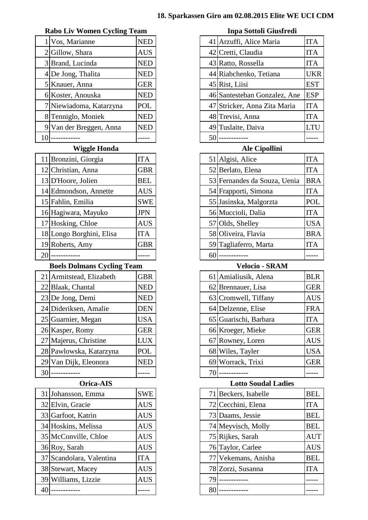#### **Rabo Liv Women Cycling Team Inpa Sottoli Giusfredi**

|   | Vos, Marianne           | <b>NED</b> |
|---|-------------------------|------------|
|   | 2 Gillow, Shara         | <b>AUS</b> |
|   | 3 Brand, Lucinda        | <b>NED</b> |
|   | 4 De Jong, Thalita      | <b>NED</b> |
|   | 5 Knauer, Anna          | <b>GER</b> |
|   | 6 Koster, Anouska       | <b>NED</b> |
|   | 7 Niewiadoma, Katarzyna | <b>POL</b> |
|   | 8 Tenniglo, Moniek      | <b>NED</b> |
| 9 | Van der Breggen, Anna   | NEL        |
|   |                         |            |

| 11 Bronzini, Giorgia     | <b>ITA</b> |
|--------------------------|------------|
| 12 Christian, Anna       | <b>GBR</b> |
| 13 D'Hoore, Jolien       | <b>BEL</b> |
| 14 Edmondson, Annette    | <b>AUS</b> |
| 15 Fahlin, Emilia        | <b>SWE</b> |
| 16 Hagiwara, Mayuko      | <b>JPN</b> |
| 17 Hosking, Chloe        | <b>AUS</b> |
| 18 Longo Borghini, Elisa | <b>ITA</b> |
| 19 Roberts, Amy          | <b>GBR</b> |
|                          |            |

#### **Boels Dolmans Cycling Team Velocio - SRAM**

| 21 Armitstead, Elizabeth | <b>GBR</b> |
|--------------------------|------------|
| 22 Blaak, Chantal        | <b>NED</b> |
| 23 De Jong, Demi         | <b>NED</b> |
| 24 Dideriksen, Amalie    | <b>DEN</b> |
| 25 Guarnier, Megan       | <b>USA</b> |
| 26 Kasper, Romy          | <b>GER</b> |
| 27 Majerus, Christine    | <b>LUX</b> |
| 28 Pawlowska, Katarzyna  | POL        |
| 29 Van Dijk, Eleonora    | NEI        |
|                          |            |

|     | 31 Johansson, Emma       | <b>SWE</b> |
|-----|--------------------------|------------|
|     | 32 Elvin, Gracie         | <b>AUS</b> |
|     | 33 Garfoot, Katrin       | <b>AUS</b> |
|     | 34 Hoskins, Melissa      | <b>AUS</b> |
|     | 35 McConville, Chloe     | <b>AUS</b> |
|     | 36 Roy, Sarah            | <b>AUS</b> |
|     | 37 Scandolara, Valentina | <b>ITA</b> |
|     | 38 Stewart, Macey        | <b>AUS</b> |
|     | 39 Williams, Lizzie      | <b>AUS</b> |
| 4() |                          |            |

|    | Vos, Marianne           | <b>NED</b> |    | 41 Arzuffi, Alice Maria      | <b>ITA</b> |
|----|-------------------------|------------|----|------------------------------|------------|
|    | 2 Gillow, Shara         | <b>AUS</b> |    | 42 Cretti, Claudia           | <b>ITA</b> |
|    | 3 Brand, Lucinda        | <b>NED</b> |    | 43 Ratto, Rossella           | <b>ITA</b> |
|    | 4 De Jong, Thalita      | <b>NED</b> |    | 44 Riabchenko, Tetiana       | <b>UKR</b> |
|    | 5 Knauer, Anna          | <b>GER</b> |    | 45 Rist, Liisi               | <b>EST</b> |
|    | 6 Koster, Anouska       | <b>NED</b> |    | 46 Santesteban Gonzalez, Ane | <b>ESP</b> |
|    | 7 Niewiadoma, Katarzyna | POL        |    | 47 Stricker, Anna Zita Maria | <b>ITA</b> |
|    | 8 Tenniglo, Moniek      | <b>NED</b> |    | 48 Trevisi, Anna             | <b>ITA</b> |
|    | 9 Van der Breggen, Anna | <b>NED</b> |    | 49 Tuslaite, Daiva           | <b>LTU</b> |
| 10 |                         |            | 50 |                              |            |

## **Wiggle Honda Ale Cipollini**

|    | 11 Bronzini, Giorgia     | <b>ITA</b> |    | 51 Algisi, Alice             | <b>ITA</b> |
|----|--------------------------|------------|----|------------------------------|------------|
|    | 12 Christian, Anna       | <b>GBR</b> |    | 52 Berlato, Elena            | <b>ITA</b> |
|    | 13 D'Hoore, Jolien       | BEL        |    | 53 Fernandes da Souza, Uenia | <b>BRA</b> |
|    | 14 Edmondson, Annette    | <b>AUS</b> |    | 54 Frapporti, Simona         | <b>ITA</b> |
|    | 15 Fahlin, Emilia        | <b>SWE</b> |    | 55 Jasinska, Malgorzta       | <b>POL</b> |
|    | 16 Hagiwara, Mayuko      | <b>JPN</b> |    | 56 Muccioli, Dalia           | <b>ITA</b> |
|    | 17 Hosking, Chloe        | <b>AUS</b> |    | 57 Olds, Shelley             | <b>USA</b> |
|    | 18 Longo Borghini, Elisa | <b>ITA</b> |    | 58 Oliveira, Flavia          | <b>BRA</b> |
|    | 19 Roberts, Amy          | <b>GBR</b> |    | 59 Tagliaferro, Marta        | <b>ITA</b> |
| 20 |                          |            | 60 |                              |            |

|                 | 21 Armitstead, Elizabeth | <b>GBR</b> |  | 61 Amialiusik, Alena  | <b>BLR</b> |
|-----------------|--------------------------|------------|--|-----------------------|------------|
|                 | 22 Blaak, Chantal        | <b>NED</b> |  | 62 Brennauer, Lisa    | <b>GER</b> |
|                 | 23 De Jong, Demi         | <b>NED</b> |  | 63 Cromwell, Tiffany  | <b>AUS</b> |
|                 | 24 Dideriksen, Amalie    | <b>DEN</b> |  | 64 Delzenne, Elise    | <b>FRA</b> |
|                 | 25 Guarnier, Megan       | USA        |  | 65 Guarischi, Barbara | <b>ITA</b> |
|                 | 26 Kasper, Romy          | <b>GER</b> |  | 66 Kroeger, Mieke     | <b>GER</b> |
|                 | 27 Majerus, Christine    | <b>LUX</b> |  | 67 Rowney, Loren      | <b>AUS</b> |
|                 | 28 Pawlowska, Katarzyna  | POL        |  | 68 Wiles, Tayler      | <b>USA</b> |
|                 | 29 Van Dijk, Eleonora    | <b>NED</b> |  | 69 Worrack, Trixi     | <b>GER</b> |
| 30 <sup>l</sup> |                          |            |  |                       |            |

# **Orica-AIS Lotto Soudal Ladies**

|    | 31 Johansson, Emma       | <b>SWE</b> |    | 71 Beckers, Isabelle | <b>BEL</b> |
|----|--------------------------|------------|----|----------------------|------------|
|    | 32 Elvin, Gracie         | <b>AUS</b> |    | 72 Cecchini, Elena   | <b>ITA</b> |
|    | 33 Garfoot, Katrin       | <b>AUS</b> |    | 73 Daams, Jessie     | <b>BEL</b> |
|    | 34 Hoskins, Melissa      | <b>AUS</b> |    | 74 Meyvisch, Molly   | <b>BEL</b> |
|    | 35 McConville, Chloe     | <b>AUS</b> |    | 75 Rijkes, Sarah     | <b>AUT</b> |
|    | 36 Roy, Sarah            | <b>AUS</b> |    | 76 Taylor, Carlee    | <b>AUS</b> |
|    | 37 Scandolara, Valentina | <b>ITA</b> |    | 77 Vekemans, Anisha  | <b>BEL</b> |
|    | 38 Stewart, Macey        | <b>AUS</b> |    | 78 Zorzi, Susanna    | <b>ITA</b> |
|    | 39 Williams, Lizzie      | <b>AUS</b> | 79 |                      |            |
| 40 |                          |            | 80 |                      |            |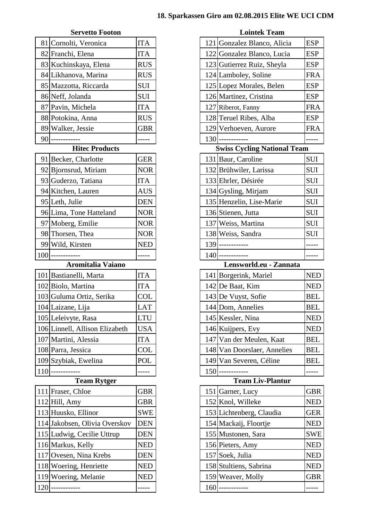### **Servetto Footon Lointek Team**

|    | 81 Cornolti, Veronica | <b>ITA</b> |
|----|-----------------------|------------|
|    | 82 Franchi, Elena     | <b>ITA</b> |
|    | 83 Kuchinskaya, Elena | <b>RUS</b> |
|    | 84 Likhanova, Marina  | <b>RUS</b> |
|    | 85 Mazzotta, Riccarda | <b>SUI</b> |
|    | 86 Neff, Jolanda      | <b>SUI</b> |
|    | 87 Pavin, Michela     | <b>ITA</b> |
|    | 88 Potokina, Anna     | <b>RUS</b> |
|    | 89 Walker, Jessie     | <b>GBR</b> |
| 90 |                       |            |

# **Hitec Products**

|    | 91 Becker, Charlotte    | <b>GER</b> |
|----|-------------------------|------------|
|    | 92 Bjornsrud, Miriam    | <b>NOR</b> |
|    | 93 Guderzo, Tatiana     | <b>ITA</b> |
|    | 94 Kitchen, Lauren      | <b>AUS</b> |
|    | 95 Leth, Julie          | <b>DEN</b> |
|    | 96 Lima, Tone Hatteland | <b>NOR</b> |
|    | 97 Moberg, Emilie       | <b>NOR</b> |
|    | 98 Thorsen, Thea        | <b>NOR</b> |
| 99 | Wild, Kirsten           | NED        |
|    |                         |            |

# **Aromitalia Vaiano Lensworld.eu - Zannata**

| 101 Bastianelli, Marta         | <b>ITA</b> |
|--------------------------------|------------|
| 102 Biolo, Martina             | <b>ITA</b> |
| 103 Guluma Ortiz, Serika       | <b>COL</b> |
| 104 Laizane, Lija              | <b>LAT</b> |
| 105 Leleivyte, Rasa            | <b>LTU</b> |
| 106 Linnell, Allison Elizabeth | <b>USA</b> |
| 107 Martini, Alessia           | <b>ITA</b> |
| 108 Parra, Jessica             | <b>COL</b> |
|                                |            |
| 109 Szybiak, Ewelina           | <b>POL</b> |

# **Team Rytger**

| 111 Fraser, Chloe             | <b>GBR</b> |     | 151 Garner, Lucy         | <b>GBR</b> |
|-------------------------------|------------|-----|--------------------------|------------|
| $112$ Hill, Amy               | <b>GBR</b> |     | 152 Knol, Willeke        | <b>NED</b> |
| 113 Huusko, Ellinor           | <b>SWE</b> |     | 153 Lichtenberg, Claudia | <b>GER</b> |
| 114 Jakobsen, Olivia Overskov | <b>DEN</b> |     | 154 Mackaij, Floortje    | <b>NED</b> |
| 115 Ludwig, Cecilie Uttrup    | DEN        |     | 155 Mustonen, Sara       | <b>SWE</b> |
| 116 Markus, Kelly             | <b>NED</b> |     | 156 Pieters, Amy         | <b>NED</b> |
| 117 Ovesen, Nina Krebs        | DEN        |     | 157 Soek, Julia          | <b>NED</b> |
| 118 Woering, Henriette        | <b>NED</b> |     | 158 Stultiens, Sabrina   | <b>NED</b> |
| 119 Woering, Melanie          | <b>NED</b> |     | 159 Weaver, Molly        | <b>GBR</b> |
| 120                           |            | 160 |                          |            |

| 81 Cornolti, Veronica          | <b>ITA</b> |  | 121 Gonzalez Blanco, Alicia        | <b>ESP</b> |
|--------------------------------|------------|--|------------------------------------|------------|
| 82 Franchi, Elena              | <b>ITA</b> |  | 122 Gonzalez Blanco, Lucia         | <b>ESP</b> |
| 83 Kuchinskaya, Elena          | <b>RUS</b> |  | 123 Gutierrez Ruiz, Sheyla         | <b>ESP</b> |
| 84 Likhanova, Marina           | <b>RUS</b> |  | 124 Lamboley, Soline               | <b>FRA</b> |
| 85 Mazzotta, Riccarda          | SUI        |  | 125 Lopez Morales, Belen           | <b>ESP</b> |
| 86 Neff, Jolanda               | <b>SUI</b> |  | 126 Martinez, Cristina             | <b>ESP</b> |
| 87 Pavin, Michela              | <b>ITA</b> |  | 127 Riberot, Fanny                 | <b>FRA</b> |
| 88 Potokina, Anna              | <b>RUS</b> |  | 128 Teruel Ribes, Alba             | <b>ESP</b> |
| 89 Walker, Jessie              | <b>GBR</b> |  | 129 Verhoeven, Aurore              | <b>FRA</b> |
| $90$ -------                   |            |  | $130$ ------------                 |            |
| <b>Hitec Products</b>          |            |  | <b>Swiss Cycling National Team</b> |            |
| 91 Becker, Charlotte           | <b>GER</b> |  | 131 Baur, Caroline                 | <b>SUI</b> |
| 92 Bjornsrud, Miriam           | <b>NOR</b> |  | 132 Brühwiler, Larissa             | <b>SUI</b> |
| 93 Guderzo, Tatiana            | <b>ITA</b> |  | 133 Ehrler, Désirée                | SUI        |
| 94 Kitchen, Lauren             | <b>AUS</b> |  | 134 Gysling, Mirjam                | <b>SUI</b> |
| 95 Leth, Julie                 | <b>DEN</b> |  | 135 Henzelin, Lise-Marie           | SUI        |
| 96 Lima, Tone Hatteland        | <b>NOR</b> |  | 136 Stienen, Jutta                 | <b>SUI</b> |
| 97 Moberg, Emilie              | <b>NOR</b> |  | 137 Weiss, Martina                 | <b>SUI</b> |
| 98 Thorsen, Thea               | <b>NOR</b> |  | 138 Weiss, Sandra                  | <b>SUI</b> |
| 99 Wild, Kirsten               | <b>NED</b> |  | 139 ------------                   |            |
| $100$ ------------             | -----      |  | $140$ ------------                 |            |
| <b>Aromitalia Vaiano</b>       |            |  | Lensworld.eu - Zannata             |            |
| 101 Bastianelli, Marta         | ITA        |  | 141 Borgerink, Mariel              | NED        |
| 102 Biolo, Martina             | <b>ITA</b> |  | 142 De Baat, Kim                   | <b>NED</b> |
| 103 Guluma Ortiz, Serika       | <b>COL</b> |  | 143 De Vuyst, Sofie                | <b>BEL</b> |
| 104 Laizane, Lija              | <b>LAT</b> |  | 144 Dom, Annelies                  | <b>BEL</b> |
| 105 Leleivyte, Rasa            | <b>LTU</b> |  | 145 Kessler, Nina                  | <b>NED</b> |
| 106 Linnell, Allison Elizabeth | <b>USA</b> |  | 146 Kuijpers, Evy                  | <b>NED</b> |
| 107 Martini, Alessia           | <b>ITA</b> |  | 147 Van der Meulen, Kaat           | <b>BEL</b> |
| 108 Parra, Jessica             | <b>COL</b> |  | 148 Van Doorslaer, Annelies        | <b>BEL</b> |
| 109 Szybiak, Ewelina           | POL        |  | 149 Van Severen, Céline            | <b>BEL</b> |
| $110$ ---------                | -----      |  | $150$ ------------                 |            |
| <b>Team Rytger</b>             |            |  | <b>Team Liv-Plantur</b>            |            |
| 111 Fraser, Chloe              | <b>GBR</b> |  | 151 Garner, Lucy                   | <b>GBR</b> |
| $112$ Hill, Amy                | <b>GBR</b> |  | 152 Knol, Willeke                  | NED        |
| 113 Huusko, Ellinor            | <b>SWE</b> |  | 153 Lichtenberg, Claudia           | GER        |
| 114 Jakobsen, Olivia Overskov  | <b>DEN</b> |  | 154 Mackaij, Floortje              | <b>NED</b> |
| 115 Ludwig, Cecilie Uttrup     | <b>DEN</b> |  | 155 Mustonen, Sara                 | SWE        |
| 116 Markus, Kelly              | <b>NED</b> |  | 156 Pieters, Amy                   | <b>NED</b> |
| 117 Ovesen, Nina Krebs         | <b>DEN</b> |  | 157 Soek, Julia                    | <b>NED</b> |
| 118 Woering, Henriette         | <b>NED</b> |  | 158 Stultiens, Sabrina             | <b>NED</b> |
| 119 Woering Melanie            | <b>NED</b> |  | $150$ Weaver Molly                 | GRR        |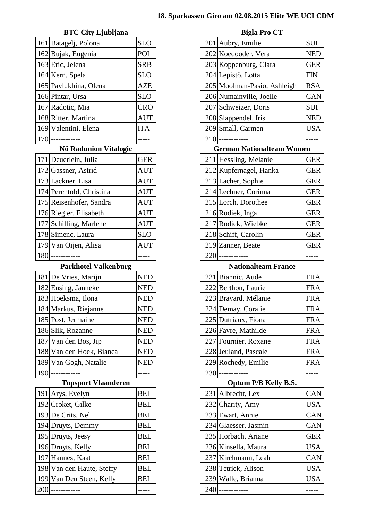## **BTC** City Ljubljana **Bigla Pro CT**

|     | 161 Batagelj, Polona  | <b>SLO</b> |     | 201 Aubry, Emilie           | SUI        |
|-----|-----------------------|------------|-----|-----------------------------|------------|
|     | 162 Bujak, Eugenia    | POL        |     | 202 Koedooder, Vera         | <b>NEI</b> |
|     | 163 Eric, Jelena      | <b>SRB</b> |     | 203 Koppenburg, Clara       | <b>GEI</b> |
|     | 164 Kern, Spela       | <b>SLO</b> |     | 204 Lepistö, Lotta          | <b>FIN</b> |
|     | 165 Pavlukhina, Olena | AZE        |     | 205 Moolman-Pasio, Ashleigh | RS/        |
|     | 166 Pintar, Ursa      | <b>SLO</b> |     | 206 Numainville, Joelle     | <b>CA</b>  |
|     | 167 Radotic, Mia      | <b>CRO</b> |     | 207 Schweizer, Doris        | SUI        |
|     | 168 Ritter, Martina   | <b>AUT</b> |     | 208 Slappendel, Iris        | <b>NEI</b> |
|     | 169 Valentini, Elena  | <b>ITA</b> |     | 209 Small, Carmen           | USA        |
| 170 |                       |            | 210 |                             |            |

# **Nö Radunion Vitalogic**

|     | 171 Deuerlein, Julia     | <b>GER</b> |
|-----|--------------------------|------------|
|     | 172 Gassner, Astrid      | <b>AUT</b> |
|     | 173 Lackner, Lisa        | <b>AUT</b> |
|     | 174 Perchtold, Christina | <b>AUT</b> |
|     | 175 Reisenhofer, Sandra  | <b>AUT</b> |
|     | 176 Riegler, Elisabeth   | <b>AUT</b> |
|     | 177 Schilling, Marlene   | <b>AUT</b> |
|     | 178 Simenc, Laura        | <b>SLO</b> |
|     | 179 Van Oijen, Alisa     | <b>AUT</b> |
| 180 |                          |            |

#### $Parkhotel$  **Valkenburg**

|     | 181 De Vries, Marijn     | <b>NED</b> |     | 221 Biannic, Aude    | <b>FRA</b> |
|-----|--------------------------|------------|-----|----------------------|------------|
|     | 182 Ensing, Janneke      | <b>NED</b> |     | 222 Berthon, Laurie  | <b>FRA</b> |
|     | 183 Hoeksma, Ilona       | <b>NED</b> |     | 223 Bravard, Mélanie | <b>FRA</b> |
|     | 184 Markus, Riejanne     | <b>NED</b> |     | 224 Demay, Coralie   | <b>FRA</b> |
|     | 185 Post, Jermaine       | <b>NED</b> |     | 225 Dutriaux, Fiona  | <b>FRA</b> |
|     | 186 Slik, Rozanne        | <b>NED</b> |     | 226 Favre, Mathilde  | <b>FRA</b> |
|     | 187 Van den Bos, Jip     | <b>NED</b> |     | 227 Fournier, Roxane | <b>FRA</b> |
|     | 188 Van den Hoek, Bianca | <b>NED</b> |     | 228 Jeuland, Pascale | <b>FRA</b> |
|     | 189 Van Gogh, Natalie    | <b>NED</b> |     | 229 Rochedy, Emilie  | <b>FRA</b> |
| 190 |                          |            | 230 |                      |            |

|     | 191 Arys, Evelyn          | <b>BEL</b> |
|-----|---------------------------|------------|
|     | 192 Croket, Gilke         | <b>BEL</b> |
|     | 193 De Crits, Nel         | <b>BEL</b> |
|     | 194 Druyts, Demmy         | <b>BEL</b> |
|     | 195 Druyts, Jeesy         | <b>BEL</b> |
|     | 196 Druyts, Kelly         | <b>BEL</b> |
|     | 197 Hannes, Kaat          | <b>BEL</b> |
|     | 198 Van den Haute, Steffy | <b>BEL</b> |
|     | 199 Van Den Steen, Kelly  | <b>BEL</b> |
| 200 |                           |            |

| 161 Batagelj, Polona                                           | <b>SLO</b> |  | 201 Aubry, Emilie                | <b>SUI</b>      |
|----------------------------------------------------------------|------------|--|----------------------------------|-----------------|
| 162 Bujak, Eugenia                                             | <b>POL</b> |  | 202 Koedooder, Vera              | <b>NED</b>      |
| 163 Eric, Jelena                                               | <b>SRB</b> |  | 203 Koppenburg, Clara            | <b>GER</b>      |
| 164 Kern, Spela                                                | <b>SLO</b> |  | 204 Lepistö, Lotta               | <b>FIN</b>      |
| 165 Pavlukhina, Olena                                          | <b>AZE</b> |  | 205 Moolman-Pasio, Ashleigh      | <b>RSA</b>      |
| 166 Pintar, Ursa                                               | <b>SLO</b> |  | 206 Numainville, Joelle          | CAN             |
| 167 Radotic, Mia                                               | <b>CRO</b> |  | 207 Schweizer, Doris             | <b>SUI</b>      |
| 168 Ritter, Martina                                            | <b>AUT</b> |  | 208 Slappendel, Iris             | <b>NED</b>      |
| 169 Valentini, Elena                                           | <b>ITA</b> |  | 209 Small, Carmen                | <b>USA</b>      |
| $170$ ------------                                             | -----      |  | $210$ ------------               |                 |
| Nö Radunion Vitalogic                                          |            |  | <b>German Nationalteam Women</b> |                 |
| 171 Deuerlein, Julia                                           | <b>GER</b> |  | 211 Hessling, Melanie            | <b>GER</b>      |
| 172 Gassner, Astrid                                            | <b>AUT</b> |  | 212 Kupfernagel, Hanka           | GER             |
| 173 Lackner, Lisa                                              | <b>AUT</b> |  | 213 Lacher, Sophie               | <b>GER</b>      |
| 174 Perchtold, Christina                                       | <b>AUT</b> |  | 214 Lechner, Corinna             | <b>GER</b>      |
| 175 Reisenhofer, Sandra                                        | <b>AUT</b> |  | 215 Lorch, Dorothee              | <b>GER</b>      |
| 176 Riegler, Elisabeth                                         | AUT        |  | 216 Rodiek, Inga                 | <b>GER</b>      |
| 177 Schilling, Marlene                                         | <b>AUT</b> |  | 217 Rodiek, Wiebke               | <b>GER</b>      |
| 178 Simenc, Laura                                              | <b>SLO</b> |  | 218 Schiff, Carolin              | <b>GER</b>      |
| 179 Van Oijen, Alisa                                           | AUT        |  | 219 Zanner, Beate                | <b>GER</b>      |
| $180$ ----------                                               | -----      |  | $220$ ----------                 |                 |
| <b>Parkhotel Valkenburg</b>                                    |            |  | <b>Nationalteam France</b>       |                 |
| 181 De Vries, Marijn                                           | NED        |  | 221 Biannic, Aude                | <b>FRA</b>      |
| 182 Ensing, Janneke                                            | <b>NED</b> |  | 222 Berthon, Laurie              | <b>FRA</b>      |
| 183 Hoeksma, Ilona                                             | <b>NED</b> |  | 223 Bravard, Mélanie             | <b>FRA</b>      |
| 184 Markus, Riejanne                                           | <b>NED</b> |  | 224 Demay, Coralie               | <b>FRA</b>      |
| 185 Post, Jermaine                                             | <b>NED</b> |  | 225 Dutriaux, Fiona              | <b>FRA</b>      |
| 186 Slik, Rozanne                                              | <b>NED</b> |  | 226 Favre, Mathilde              | <b>FRA</b>      |
| $187$ V <sub>on</sub> d <sub>on</sub> $R_{00}$ I <sub>in</sub> | <b>NED</b> |  | $227$ Equippen Dovers            | LD <sub>A</sub> |

# 228 Jeuland, Pascale FRA 229 Rochedy, Emilie FRA

# **Topsport Vlaanderen Optum P/B Kelly B.S.**

|     | 191 Arys, Evelyn          | <b>BEL</b> |     | 231 Albrecht, Lex    | CAN        |
|-----|---------------------------|------------|-----|----------------------|------------|
|     | 192 Croket, Gilke         | BEL        |     | 232 Charity, Amy     | <b>USA</b> |
|     | 193 De Crits, Nel         | <b>BEL</b> |     | 233 Ewart, Annie     | <b>CAN</b> |
|     | 194 Druyts, Demmy         | BEL        |     | 234 Glaesser, Jasmin | CAN        |
|     | 195 Druyts, Jeesy         | BEL        |     | 235 Horbach, Ariane  | <b>GER</b> |
|     | 196 Druyts, Kelly         | <b>BEL</b> |     | 236 Kinsella, Maura  | <b>USA</b> |
|     | 197 Hannes, Kaat          | BEL        |     | 237 Kirchmann, Leah  | <b>CAN</b> |
|     | 198 Van den Haute, Steffy | BEL        |     | 238 Tetrick, Alison  | <b>USA</b> |
|     | 199 Van Den Steen, Kelly  | BEL        |     | 239 Walle, Brianna   | <b>USA</b> |
| 200 |                           |            | 240 |                      |            |